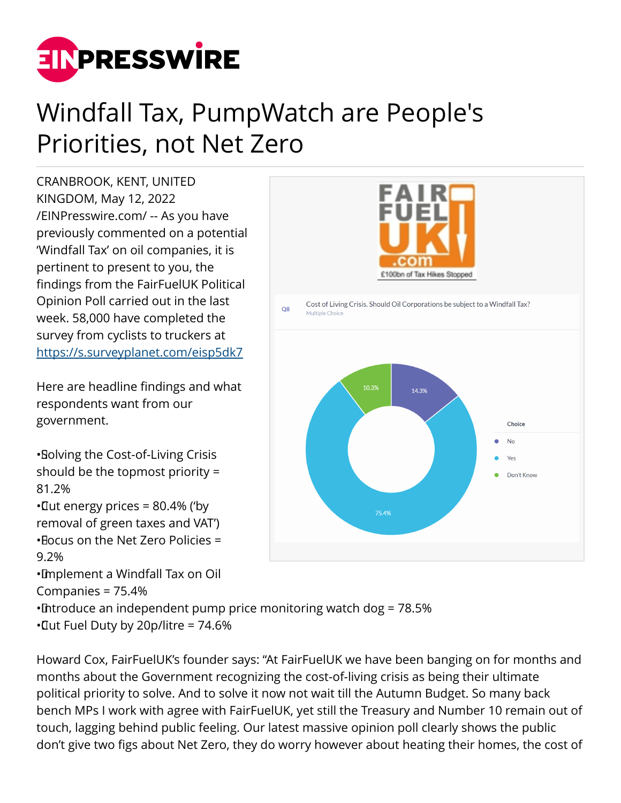

## Windfall Tax, PumpWatch are People's Priorities, not Net Zero

CRANBROOK, KENT, UNITED KINGDOM, May 12, 2022 [/EINPresswire.com/](http://www.einpresswire.com) -- As you have previously commented on a potential 'Windfall Tax' on oil companies, it is pertinent to present to you, the findings from the FairFuelUK Political Opinion Poll carried out in the last week. 58,000 have completed the survey from cyclists to truckers at <https://s.surveyplanet.com/eisp5dk7>

Here are headline findings and what respondents want from our government.

• Solving the Cost-of-Living Crisis should be the topmost priority = 81.2%  $\cdot$  Cut energy prices = 80.4% ('by removal of green taxes and VAT')

 $\cdot$  Eocus on the Net Zero Policies = 9.2%

• Implement a Windfall Tax on Oil Companies = 75.4%



• Introduce an independent pump price monitoring watch dog = 78.5% • Cut Fuel Duty by 20p/litre = 74.6%

Howard Cox, FairFuelUK's founder says: "At FairFuelUK we have been banging on for months and months about the Government recognizing the cost-of-living crisis as being their ultimate political priority to solve. And to solve it now not wait till the Autumn Budget. So many back bench MPs I work with agree with FairFuelUK, yet still the Treasury and Number 10 remain out of touch, lagging behind public feeling. Our latest massive opinion poll clearly shows the public don't give two figs about Net Zero, they do worry however about heating their homes, the cost of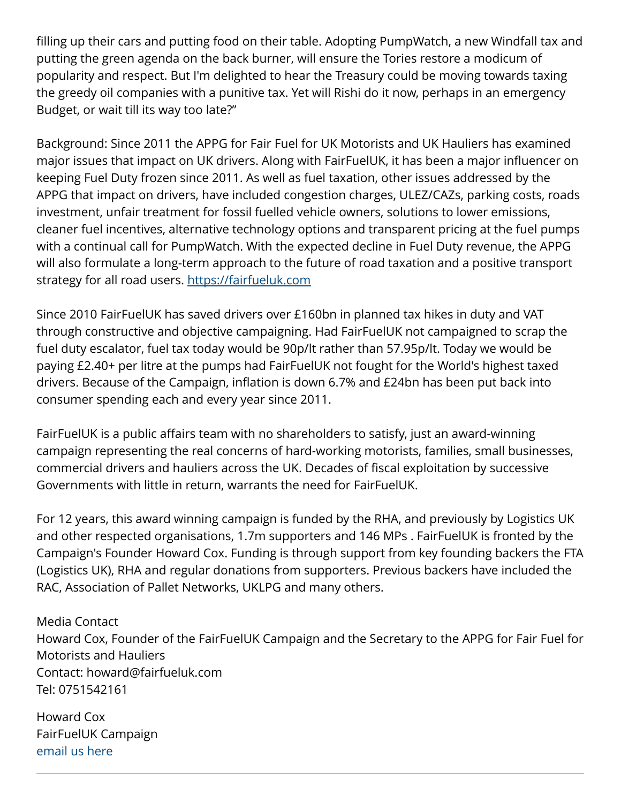filling up their cars and putting food on their table. Adopting PumpWatch, a new Windfall tax and putting the green agenda on the back burner, will ensure the Tories restore a modicum of popularity and respect. But I'm delighted to hear the Treasury could be moving towards taxing the greedy oil companies with a punitive tax. Yet will Rishi do it now, perhaps in an emergency Budget, or wait till its way too late?"

Background: Since 2011 the APPG for Fair Fuel for UK Motorists and UK Hauliers has examined major issues that impact on UK drivers. Along with FairFuelUK, it has been a major influencer on keeping Fuel Duty frozen since 2011. As well as fuel taxation, other issues addressed by the APPG that impact on drivers, have included congestion charges, ULEZ/CAZs, parking costs, roads investment, unfair treatment for fossil fuelled vehicle owners, solutions to lower emissions, cleaner fuel incentives, alternative technology options and transparent pricing at the fuel pumps with a continual call for PumpWatch. With the expected decline in Fuel Duty revenue, the APPG will also formulate a long-term approach to the future of road taxation and a positive transport strategy for all road users. <https://fairfueluk.com>

Since 2010 FairFuelUK has saved drivers over £160bn in planned tax hikes in duty and VAT through constructive and objective campaigning. Had FairFuelUK not campaigned to scrap the fuel duty escalator, fuel tax today would be 90p/lt rather than 57.95p/lt. Today we would be paying £2.40+ per litre at the pumps had FairFuelUK not fought for the World's highest taxed drivers. Because of the Campaign, inflation is down 6.7% and £24bn has been put back into consumer spending each and every year since 2011.

FairFuelUK is a public affairs team with no shareholders to satisfy, just an award-winning campaign representing the real concerns of hard-working motorists, families, small businesses, commercial drivers and hauliers across the UK. Decades of fiscal exploitation by successive Governments with little in return, warrants the need for FairFuelUK.

For 12 years, this award winning campaign is funded by the RHA, and previously by Logistics UK and other respected organisations, 1.7m supporters and 146 MPs . FairFuelUK is fronted by the Campaign's Founder Howard Cox. Funding is through support from key founding backers the FTA (Logistics UK), RHA and regular donations from supporters. Previous backers have included the RAC, Association of Pallet Networks, UKLPG and many others.

Media Contact Howard Cox, Founder of the FairFuelUK Campaign and the Secretary to the APPG for Fair Fuel for Motorists and Hauliers Contact: howard@fairfueluk.com Tel: 0751542161

Howard Cox FairFuelUK Campaign [email us here](http://www.einpresswire.com/contact_author/3483626)